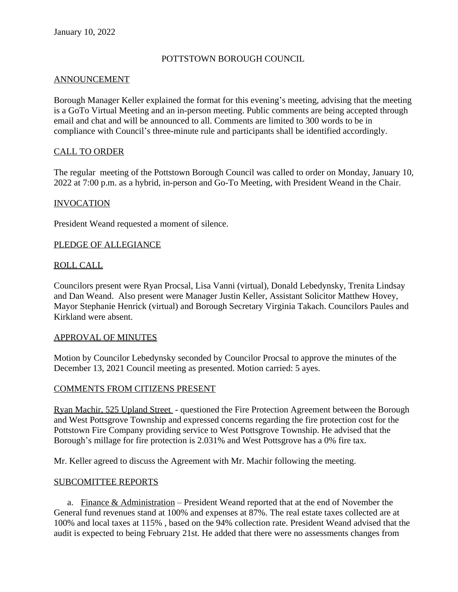#### POTTSTOWN BOROUGH COUNCIL

#### ANNOUNCEMENT

Borough Manager Keller explained the format for this evening's meeting, advising that the meeting is a GoTo Virtual Meeting and an in-person meeting. Public comments are being accepted through email and chat and will be announced to all. Comments are limited to 300 words to be in compliance with Council's three-minute rule and participants shall be identified accordingly.

#### CALL TO ORDER

The regular meeting of the Pottstown Borough Council was called to order on Monday, January 10, 2022 at 7:00 p.m. as a hybrid, in-person and Go-To Meeting, with President Weand in the Chair.

#### INVOCATION

President Weand requested a moment of silence.

#### PLEDGE OF ALLEGIANCE

#### ROLL CALL

Councilors present were Ryan Procsal, Lisa Vanni (virtual), Donald Lebedynsky, Trenita Lindsay and Dan Weand. Also present were Manager Justin Keller, Assistant Solicitor Matthew Hovey, Mayor Stephanie Henrick (virtual) and Borough Secretary Virginia Takach. Councilors Paules and Kirkland were absent.

#### APPROVAL OF MINUTES

Motion by Councilor Lebedynsky seconded by Councilor Procsal to approve the minutes of the December 13, 2021 Council meeting as presented. Motion carried: 5 ayes.

#### COMMENTS FROM CITIZENS PRESENT

Ryan Machir, 525 Upland Street - questioned the Fire Protection Agreement between the Borough and West Pottsgrove Township and expressed concerns regarding the fire protection cost for the Pottstown Fire Company providing service to West Pottsgrove Township. He advised that the Borough's millage for fire protection is 2.031% and West Pottsgrove has a 0% fire tax.

Mr. Keller agreed to discuss the Agreement with Mr. Machir following the meeting.

#### SUBCOMITTEE REPORTS

a. Finance & Administration – President Weand reported that at the end of November the General fund revenues stand at 100% and expenses at 87%. The real estate taxes collected are at 100% and local taxes at 115% , based on the 94% collection rate. President Weand advised that the audit is expected to being February 21st. He added that there were no assessments changes from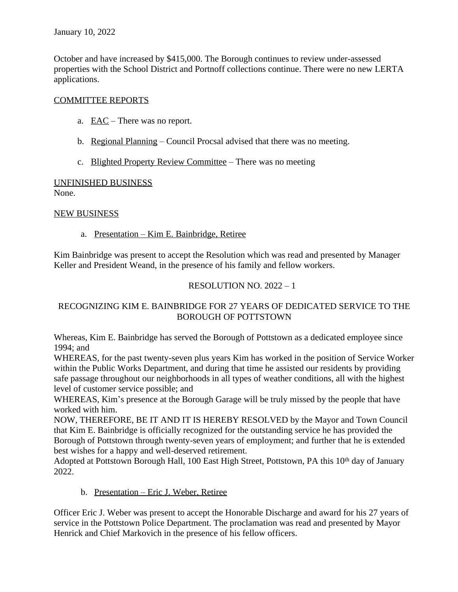October and have increased by \$415,000. The Borough continues to review under-assessed properties with the School District and Portnoff collections continue. There were no new LERTA applications.

### COMMITTEE REPORTS

- a. EAC There was no report.
- b. Regional Planning Council Procsal advised that there was no meeting.
- c. Blighted Property Review Committee There was no meeting

# UNFINISHED BUSINESS

None.

### NEW BUSINESS

a. Presentation – Kim E. Bainbridge, Retiree

Kim Bainbridge was present to accept the Resolution which was read and presented by Manager Keller and President Weand, in the presence of his family and fellow workers.

# RESOLUTION NO. 2022 – 1

## RECOGNIZING KIM E. BAINBRIDGE FOR 27 YEARS OF DEDICATED SERVICE TO THE BOROUGH OF POTTSTOWN

Whereas, Kim E. Bainbridge has served the Borough of Pottstown as a dedicated employee since 1994; and

WHEREAS, for the past twenty-seven plus years Kim has worked in the position of Service Worker within the Public Works Department, and during that time he assisted our residents by providing safe passage throughout our neighborhoods in all types of weather conditions, all with the highest level of customer service possible; and

WHEREAS, Kim's presence at the Borough Garage will be truly missed by the people that have worked with him.

NOW, THEREFORE, BE IT AND IT IS HEREBY RESOLVED by the Mayor and Town Council that Kim E. Bainbridge is officially recognized for the outstanding service he has provided the Borough of Pottstown through twenty-seven years of employment; and further that he is extended best wishes for a happy and well-deserved retirement.

Adopted at Pottstown Borough Hall, 100 East High Street, Pottstown, PA this 10<sup>th</sup> day of January 2022.

b. Presentation – Eric J. Weber, Retiree

Officer Eric J. Weber was present to accept the Honorable Discharge and award for his 27 years of service in the Pottstown Police Department. The proclamation was read and presented by Mayor Henrick and Chief Markovich in the presence of his fellow officers.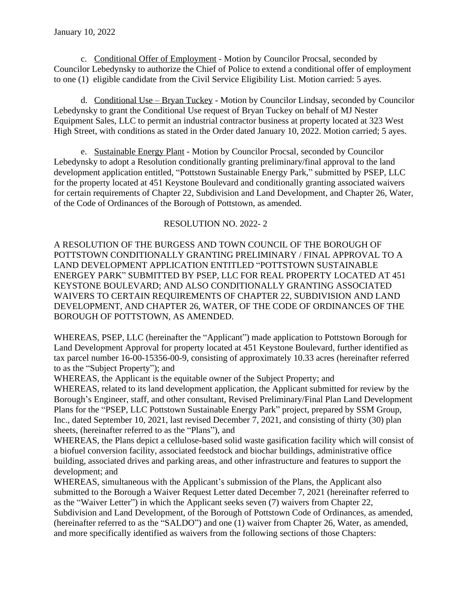c. Conditional Offer of Employment - Motion by Councilor Procsal, seconded by Councilor Lebedynsky to authorize the Chief of Police to extend a conditional offer of employment to one (1) eligible candidate from the Civil Service Eligibility List. Motion carried: 5 ayes.

d. Conditional Use – Bryan Tuckey - Motion by Councilor Lindsay, seconded by Councilor Lebedynsky to grant the Conditional Use request of Bryan Tuckey on behalf of MJ Nester Equipment Sales, LLC to permit an industrial contractor business at property located at 323 West High Street, with conditions as stated in the Order dated January 10, 2022. Motion carried; 5 ayes.

e. Sustainable Energy Plant - Motion by Councilor Procsal, seconded by Councilor Lebedynsky to adopt a Resolution conditionally granting preliminary/final approval to the land development application entitled, "Pottstown Sustainable Energy Park," submitted by PSEP, LLC for the property located at 451 Keystone Boulevard and conditionally granting associated waivers for certain requirements of Chapter 22, Subdivision and Land Development, and Chapter 26, Water, of the Code of Ordinances of the Borough of Pottstown, as amended.

# RESOLUTION NO. 2022- 2

A RESOLUTION OF THE BURGESS AND TOWN COUNCIL OF THE BOROUGH OF POTTSTOWN CONDITIONALLY GRANTING PRELIMINARY / FINAL APPROVAL TO A LAND DEVELOPMENT APPLICATION ENTITLED "POTTSTOWN SUSTAINABLE ENERGEY PARK" SUBMITTED BY PSEP, LLC FOR REAL PROPERTY LOCATED AT 451 KEYSTONE BOULEVARD; AND ALSO CONDITIONALLY GRANTING ASSOCIATED WAIVERS TO CERTAIN REQUIREMENTS OF CHAPTER 22, SUBDIVISION AND LAND DEVELOPMENT, AND CHAPTER 26, WATER, OF THE CODE OF ORDINANCES OF THE BOROUGH OF POTTSTOWN, AS AMENDED.

WHEREAS, PSEP, LLC (hereinafter the "Applicant") made application to Pottstown Borough for Land Development Approval for property located at 451 Keystone Boulevard, further identified as tax parcel number 16-00-15356-00-9, consisting of approximately 10.33 acres (hereinafter referred to as the "Subject Property"); and

WHEREAS, the Applicant is the equitable owner of the Subject Property; and

WHEREAS, related to its land development application, the Applicant submitted for review by the Borough's Engineer, staff, and other consultant, Revised Preliminary/Final Plan Land Development Plans for the "PSEP, LLC Pottstown Sustainable Energy Park" project, prepared by SSM Group, Inc., dated September 10, 2021, last revised December 7, 2021, and consisting of thirty (30) plan sheets, (hereinafter referred to as the "Plans"), and

WHEREAS, the Plans depict a cellulose-based solid waste gasification facility which will consist of a biofuel conversion facility, associated feedstock and biochar buildings, administrative office building, associated drives and parking areas, and other infrastructure and features to support the development; and

WHEREAS, simultaneous with the Applicant's submission of the Plans, the Applicant also submitted to the Borough a Waiver Request Letter dated December 7, 2021 (hereinafter referred to as the "Waiver Letter") in which the Applicant seeks seven (7) waivers from Chapter 22, Subdivision and Land Development, of the Borough of Pottstown Code of Ordinances, as amended, (hereinafter referred to as the "SALDO") and one (1) waiver from Chapter 26, Water, as amended, and more specifically identified as waivers from the following sections of those Chapters: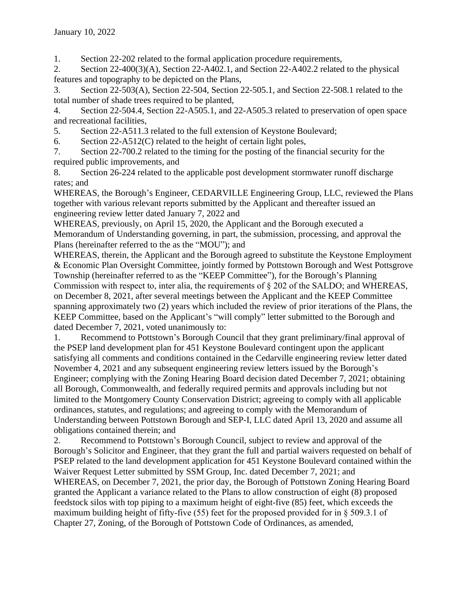1. Section 22-202 related to the formal application procedure requirements,

2. Section 22-400(3)(A), Section 22-A402.1, and Section 22-A402.2 related to the physical features and topography to be depicted on the Plans,

3. Section 22-503(A), Section 22-504, Section 22-505.1, and Section 22-508.1 related to the total number of shade trees required to be planted,

4. Section 22-504.4, Section 22-A505.1, and 22-A505.3 related to preservation of open space and recreational facilities,

5. Section 22-A511.3 related to the full extension of Keystone Boulevard;

6. Section 22-A512(C) related to the height of certain light poles,

7. Section 22-700.2 related to the timing for the posting of the financial security for the required public improvements, and

8. Section 26-224 related to the applicable post development stormwater runoff discharge rates; and

WHEREAS, the Borough's Engineer, CEDARVILLE Engineering Group, LLC, reviewed the Plans together with various relevant reports submitted by the Applicant and thereafter issued an engineering review letter dated January 7, 2022 and

WHEREAS, previously, on April 15, 2020, the Applicant and the Borough executed a Memorandum of Understanding governing, in part, the submission, processing, and approval the Plans (hereinafter referred to the as the "MOU"); and

WHEREAS, therein, the Applicant and the Borough agreed to substitute the Keystone Employment & Economic Plan Oversight Committee, jointly formed by Pottstown Borough and West Pottsgrove Township (hereinafter referred to as the "KEEP Committee"), for the Borough's Planning Commission with respect to, inter alia, the requirements of § 202 of the SALDO; and WHEREAS, on December 8, 2021, after several meetings between the Applicant and the KEEP Committee spanning approximately two (2) years which included the review of prior iterations of the Plans, the KEEP Committee, based on the Applicant's "will comply" letter submitted to the Borough and dated December 7, 2021, voted unanimously to:

1. Recommend to Pottstown's Borough Council that they grant preliminary/final approval of the PSEP land development plan for 451 Keystone Boulevard contingent upon the applicant satisfying all comments and conditions contained in the Cedarville engineering review letter dated November 4, 2021 and any subsequent engineering review letters issued by the Borough's Engineer; complying with the Zoning Hearing Board decision dated December 7, 2021; obtaining all Borough, Commonwealth, and federally required permits and approvals including but not limited to the Montgomery County Conservation District; agreeing to comply with all applicable ordinances, statutes, and regulations; and agreeing to comply with the Memorandum of Understanding between Pottstown Borough and SEP-I, LLC dated April 13, 2020 and assume all obligations contained therein; and

2. Recommend to Pottstown's Borough Council, subject to review and approval of the Borough's Solicitor and Engineer, that they grant the full and partial waivers requested on behalf of PSEP related to the land development application for 451 Keystone Boulevard contained within the Waiver Request Letter submitted by SSM Group, Inc. dated December 7, 2021; and

WHEREAS, on December 7, 2021, the prior day, the Borough of Pottstown Zoning Hearing Board granted the Applicant a variance related to the Plans to allow construction of eight (8) proposed feedstock silos with top piping to a maximum height of eight-five (85) feet, which exceeds the maximum building height of fifty-five (55) feet for the proposed provided for in § 509.3.1 of Chapter 27, Zoning, of the Borough of Pottstown Code of Ordinances, as amended,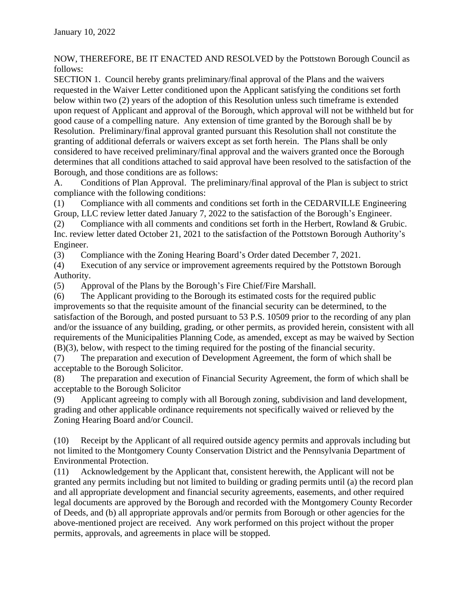NOW, THEREFORE, BE IT ENACTED AND RESOLVED by the Pottstown Borough Council as follows:

SECTION 1. Council hereby grants preliminary/final approval of the Plans and the waivers requested in the Waiver Letter conditioned upon the Applicant satisfying the conditions set forth below within two (2) years of the adoption of this Resolution unless such timeframe is extended upon request of Applicant and approval of the Borough, which approval will not be withheld but for good cause of a compelling nature. Any extension of time granted by the Borough shall be by Resolution. Preliminary/final approval granted pursuant this Resolution shall not constitute the granting of additional deferrals or waivers except as set forth herein. The Plans shall be only considered to have received preliminary/final approval and the waivers granted once the Borough determines that all conditions attached to said approval have been resolved to the satisfaction of the Borough, and those conditions are as follows:

A. Conditions of Plan Approval. The preliminary/final approval of the Plan is subject to strict compliance with the following conditions:

(1) Compliance with all comments and conditions set forth in the CEDARVILLE Engineering Group, LLC review letter dated January 7, 2022 to the satisfaction of the Borough's Engineer.

(2) Compliance with all comments and conditions set forth in the Herbert, Rowland & Grubic. Inc. review letter dated October 21, 2021 to the satisfaction of the Pottstown Borough Authority's Engineer.

(3) Compliance with the Zoning Hearing Board's Order dated December 7, 2021.

(4) Execution of any service or improvement agreements required by the Pottstown Borough Authority.

(5) Approval of the Plans by the Borough's Fire Chief/Fire Marshall.

(6) The Applicant providing to the Borough its estimated costs for the required public improvements so that the requisite amount of the financial security can be determined, to the satisfaction of the Borough, and posted pursuant to 53 P.S. 10509 prior to the recording of any plan and/or the issuance of any building, grading, or other permits, as provided herein, consistent with all requirements of the Municipalities Planning Code, as amended, except as may be waived by Section (B)(3), below, with respect to the timing required for the posting of the financial security.

(7) The preparation and execution of Development Agreement, the form of which shall be acceptable to the Borough Solicitor.

(8) The preparation and execution of Financial Security Agreement, the form of which shall be acceptable to the Borough Solicitor

(9) Applicant agreeing to comply with all Borough zoning, subdivision and land development, grading and other applicable ordinance requirements not specifically waived or relieved by the Zoning Hearing Board and/or Council.

(10) Receipt by the Applicant of all required outside agency permits and approvals including but not limited to the Montgomery County Conservation District and the Pennsylvania Department of Environmental Protection.

(11) Acknowledgement by the Applicant that, consistent herewith, the Applicant will not be granted any permits including but not limited to building or grading permits until (a) the record plan and all appropriate development and financial security agreements, easements, and other required legal documents are approved by the Borough and recorded with the Montgomery County Recorder of Deeds, and (b) all appropriate approvals and/or permits from Borough or other agencies for the above-mentioned project are received. Any work performed on this project without the proper permits, approvals, and agreements in place will be stopped.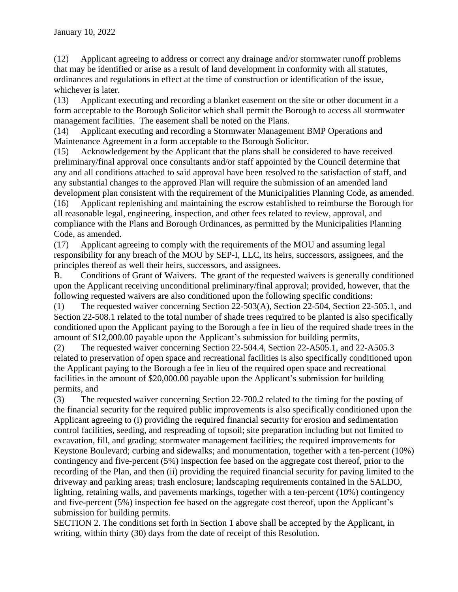(12) Applicant agreeing to address or correct any drainage and/or stormwater runoff problems that may be identified or arise as a result of land development in conformity with all statutes, ordinances and regulations in effect at the time of construction or identification of the issue, whichever is later.

(13) Applicant executing and recording a blanket easement on the site or other document in a form acceptable to the Borough Solicitor which shall permit the Borough to access all stormwater management facilities. The easement shall be noted on the Plans.

(14) Applicant executing and recording a Stormwater Management BMP Operations and Maintenance Agreement in a form acceptable to the Borough Solicitor.

(15) Acknowledgement by the Applicant that the plans shall be considered to have received preliminary/final approval once consultants and/or staff appointed by the Council determine that any and all conditions attached to said approval have been resolved to the satisfaction of staff, and any substantial changes to the approved Plan will require the submission of an amended land development plan consistent with the requirement of the Municipalities Planning Code, as amended.

(16) Applicant replenishing and maintaining the escrow established to reimburse the Borough for all reasonable legal, engineering, inspection, and other fees related to review, approval, and compliance with the Plans and Borough Ordinances, as permitted by the Municipalities Planning Code, as amended.

(17) Applicant agreeing to comply with the requirements of the MOU and assuming legal responsibility for any breach of the MOU by SEP-I, LLC, its heirs, successors, assignees, and the principles thereof as well their heirs, successors, and assignees.

B. Conditions of Grant of Waivers. The grant of the requested waivers is generally conditioned upon the Applicant receiving unconditional preliminary/final approval; provided, however, that the following requested waivers are also conditioned upon the following specific conditions:

(1) The requested waiver concerning Section 22-503(A), Section 22-504, Section 22-505.1, and Section 22-508.1 related to the total number of shade trees required to be planted is also specifically conditioned upon the Applicant paying to the Borough a fee in lieu of the required shade trees in the amount of \$12,000.00 payable upon the Applicant's submission for building permits,

(2) The requested waiver concerning Section 22-504.4, Section 22-A505.1, and 22-A505.3 related to preservation of open space and recreational facilities is also specifically conditioned upon the Applicant paying to the Borough a fee in lieu of the required open space and recreational facilities in the amount of \$20,000.00 payable upon the Applicant's submission for building permits, and

(3) The requested waiver concerning Section 22-700.2 related to the timing for the posting of the financial security for the required public improvements is also specifically conditioned upon the Applicant agreeing to (i) providing the required financial security for erosion and sedimentation control facilities, seeding, and respreading of topsoil; site preparation including but not limited to excavation, fill, and grading; stormwater management facilities; the required improvements for Keystone Boulevard; curbing and sidewalks; and monumentation, together with a ten-percent (10%) contingency and five-percent (5%) inspection fee based on the aggregate cost thereof, prior to the recording of the Plan, and then (ii) providing the required financial security for paving limited to the driveway and parking areas; trash enclosure; landscaping requirements contained in the SALDO, lighting, retaining walls, and pavements markings, together with a ten-percent (10%) contingency and five-percent (5%) inspection fee based on the aggregate cost thereof, upon the Applicant's submission for building permits.

SECTION 2. The conditions set forth in Section 1 above shall be accepted by the Applicant, in writing, within thirty (30) days from the date of receipt of this Resolution.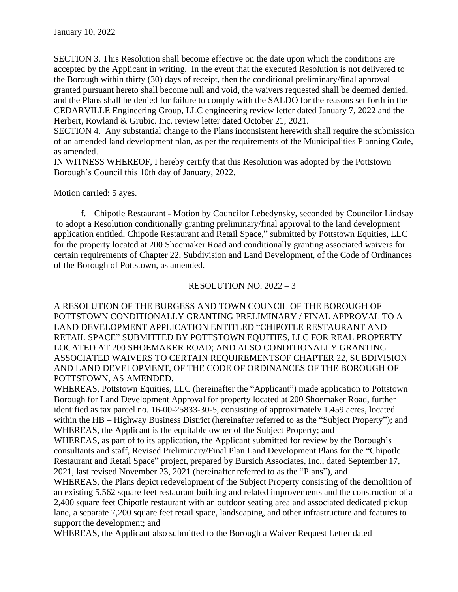SECTION 3. This Resolution shall become effective on the date upon which the conditions are accepted by the Applicant in writing. In the event that the executed Resolution is not delivered to the Borough within thirty (30) days of receipt, then the conditional preliminary/final approval granted pursuant hereto shall become null and void, the waivers requested shall be deemed denied, and the Plans shall be denied for failure to comply with the SALDO for the reasons set forth in the CEDARVILLE Engineering Group, LLC engineering review letter dated January 7, 2022 and the Herbert, Rowland & Grubic. Inc. review letter dated October 21, 2021.

SECTION 4. Any substantial change to the Plans inconsistent herewith shall require the submission of an amended land development plan, as per the requirements of the Municipalities Planning Code, as amended.

IN WITNESS WHEREOF, I hereby certify that this Resolution was adopted by the Pottstown Borough's Council this 10th day of January, 2022.

Motion carried: 5 ayes.

f. Chipotle Restaurant - Motion by Councilor Lebedynsky, seconded by Councilor Lindsay to adopt a Resolution conditionally granting preliminary/final approval to the land development application entitled, Chipotle Restaurant and Retail Space," submitted by Pottstown Equities, LLC for the property located at 200 Shoemaker Road and conditionally granting associated waivers for certain requirements of Chapter 22, Subdivision and Land Development, of the Code of Ordinances of the Borough of Pottstown, as amended.

#### RESOLUTION NO. 2022 – 3

A RESOLUTION OF THE BURGESS AND TOWN COUNCIL OF THE BOROUGH OF POTTSTOWN CONDITIONALLY GRANTING PRELIMINARY / FINAL APPROVAL TO A LAND DEVELOPMENT APPLICATION ENTITLED "CHIPOTLE RESTAURANT AND RETAIL SPACE" SUBMITTED BY POTTSTOWN EQUITIES, LLC FOR REAL PROPERTY LOCATED AT 200 SHOEMAKER ROAD; AND ALSO CONDITIONALLY GRANTING ASSOCIATED WAIVERS TO CERTAIN REQUIREMENTSOF CHAPTER 22, SUBDIVISION AND LAND DEVELOPMENT, OF THE CODE OF ORDINANCES OF THE BOROUGH OF POTTSTOWN, AS AMENDED.

WHEREAS, Pottstown Equities, LLC (hereinafter the "Applicant") made application to Pottstown Borough for Land Development Approval for property located at 200 Shoemaker Road, further identified as tax parcel no. 16-00-25833-30-5, consisting of approximately 1.459 acres, located within the HB – Highway Business District (hereinafter referred to as the "Subject Property"); and WHEREAS, the Applicant is the equitable owner of the Subject Property; and

WHEREAS, as part of to its application, the Applicant submitted for review by the Borough's consultants and staff, Revised Preliminary/Final Plan Land Development Plans for the "Chipotle Restaurant and Retail Space" project, prepared by Bursich Associates, Inc., dated September 17, 2021, last revised November 23, 2021 (hereinafter referred to as the "Plans"), and

WHEREAS, the Plans depict redevelopment of the Subject Property consisting of the demolition of an existing 5,562 square feet restaurant building and related improvements and the construction of a 2,400 square feet Chipotle restaurant with an outdoor seating area and associated dedicated pickup lane, a separate 7,200 square feet retail space, landscaping, and other infrastructure and features to support the development; and

WHEREAS, the Applicant also submitted to the Borough a Waiver Request Letter dated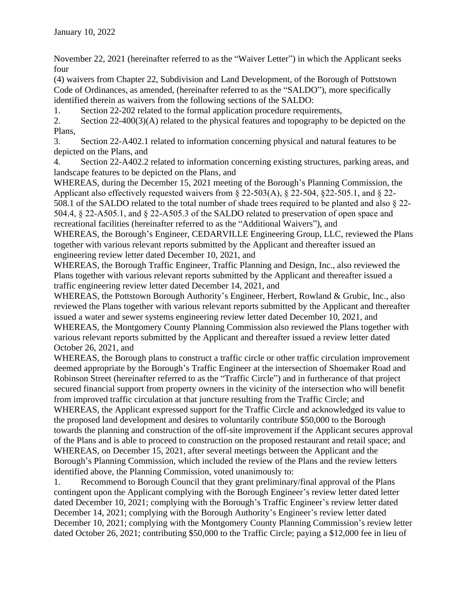November 22, 2021 (hereinafter referred to as the "Waiver Letter") in which the Applicant seeks four

(4) waivers from Chapter 22, Subdivision and Land Development, of the Borough of Pottstown Code of Ordinances, as amended, (hereinafter referred to as the "SALDO"), more specifically identified therein as waivers from the following sections of the SALDO:

1. Section 22-202 related to the formal application procedure requirements,

2. Section 22-400(3)(A) related to the physical features and topography to be depicted on the Plans,

3. Section 22-A402.1 related to information concerning physical and natural features to be depicted on the Plans, and

4. Section 22-A402.2 related to information concerning existing structures, parking areas, and landscape features to be depicted on the Plans, and

WHEREAS, during the December 15, 2021 meeting of the Borough's Planning Commission, the Applicant also effectively requested waivers from § 22-503(A), § 22-504, §22-505.1, and § 22- 508.1 of the SALDO related to the total number of shade trees required to be planted and also § 22- 504.4, § 22-A505.1, and § 22-A505.3 of the SALDO related to preservation of open space and recreational facilities (hereinafter referred to as the "Additional Waivers"), and

WHEREAS, the Borough's Engineer, CEDARVILLE Engineering Group, LLC, reviewed the Plans together with various relevant reports submitted by the Applicant and thereafter issued an engineering review letter dated December 10, 2021, and

WHEREAS, the Borough Traffic Engineer, Traffic Planning and Design, Inc., also reviewed the Plans together with various relevant reports submitted by the Applicant and thereafter issued a traffic engineering review letter dated December 14, 2021, and

WHEREAS, the Pottstown Borough Authority's Engineer, Herbert, Rowland & Grubic, Inc., also reviewed the Plans together with various relevant reports submitted by the Applicant and thereafter issued a water and sewer systems engineering review letter dated December 10, 2021, and WHEREAS, the Montgomery County Planning Commission also reviewed the Plans together with various relevant reports submitted by the Applicant and thereafter issued a review letter dated October 26, 2021, and

WHEREAS, the Borough plans to construct a traffic circle or other traffic circulation improvement deemed appropriate by the Borough's Traffic Engineer at the intersection of Shoemaker Road and Robinson Street (hereinafter referred to as the "Traffic Circle") and in furtherance of that project secured financial support from property owners in the vicinity of the intersection who will benefit from improved traffic circulation at that juncture resulting from the Traffic Circle; and WHEREAS, the Applicant expressed support for the Traffic Circle and acknowledged its value to the proposed land development and desires to voluntarily contribute \$50,000 to the Borough towards the planning and construction of the off-site improvement if the Applicant secures approval of the Plans and is able to proceed to construction on the proposed restaurant and retail space; and WHEREAS, on December 15, 2021, after several meetings between the Applicant and the Borough's Planning Commission, which included the review of the Plans and the review letters identified above, the Planning Commission, voted unanimously to:

1. Recommend to Borough Council that they grant preliminary/final approval of the Plans contingent upon the Applicant complying with the Borough Engineer's review letter dated letter dated December 10, 2021; complying with the Borough's Traffic Engineer's review letter dated December 14, 2021; complying with the Borough Authority's Engineer's review letter dated December 10, 2021; complying with the Montgomery County Planning Commission's review letter dated October 26, 2021; contributing \$50,000 to the Traffic Circle; paying a \$12,000 fee in lieu of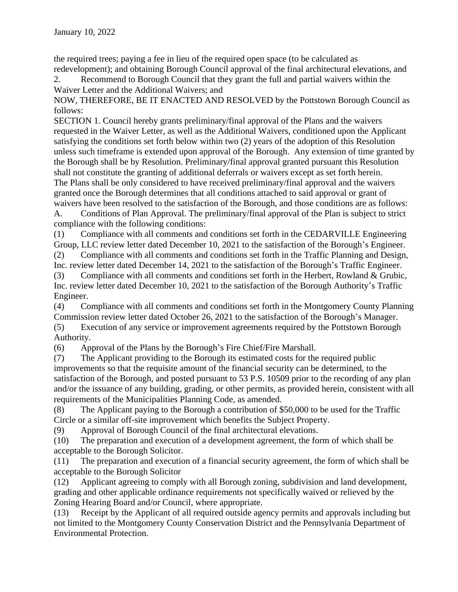the required trees; paying a fee in lieu of the required open space (to be calculated as redevelopment); and obtaining Borough Council approval of the final architectural elevations, and

2. Recommend to Borough Council that they grant the full and partial waivers within the Waiver Letter and the Additional Waivers; and

NOW, THEREFORE, BE IT ENACTED AND RESOLVED by the Pottstown Borough Council as follows:

SECTION 1. Council hereby grants preliminary/final approval of the Plans and the waivers requested in the Waiver Letter, as well as the Additional Waivers, conditioned upon the Applicant satisfying the conditions set forth below within two (2) years of the adoption of this Resolution unless such timeframe is extended upon approval of the Borough. Any extension of time granted by the Borough shall be by Resolution. Preliminary/final approval granted pursuant this Resolution shall not constitute the granting of additional deferrals or waivers except as set forth herein. The Plans shall be only considered to have received preliminary/final approval and the waivers granted once the Borough determines that all conditions attached to said approval or grant of waivers have been resolved to the satisfaction of the Borough, and those conditions are as follows:

A. Conditions of Plan Approval. The preliminary/final approval of the Plan is subject to strict compliance with the following conditions:

(1) Compliance with all comments and conditions set forth in the CEDARVILLE Engineering Group, LLC review letter dated December 10, 2021 to the satisfaction of the Borough's Engineer.

(2) Compliance with all comments and conditions set forth in the Traffic Planning and Design, Inc. review letter dated December 14, 2021 to the satisfaction of the Borough's Traffic Engineer.

(3) Compliance with all comments and conditions set forth in the Herbert, Rowland & Grubic, Inc. review letter dated December 10, 2021 to the satisfaction of the Borough Authority's Traffic Engineer.

(4) Compliance with all comments and conditions set forth in the Montgomery County Planning Commission review letter dated October 26, 2021 to the satisfaction of the Borough's Manager.

(5) Execution of any service or improvement agreements required by the Pottstown Borough Authority.

(6) Approval of the Plans by the Borough's Fire Chief/Fire Marshall.

(7) The Applicant providing to the Borough its estimated costs for the required public improvements so that the requisite amount of the financial security can be determined, to the satisfaction of the Borough, and posted pursuant to 53 P.S. 10509 prior to the recording of any plan and/or the issuance of any building, grading, or other permits, as provided herein, consistent with all requirements of the Municipalities Planning Code, as amended.

(8) The Applicant paying to the Borough a contribution of \$50,000 to be used for the Traffic Circle or a similar off-site improvement which benefits the Subject Property.

(9) Approval of Borough Council of the final architectural elevations.

(10) The preparation and execution of a development agreement, the form of which shall be acceptable to the Borough Solicitor.

(11) The preparation and execution of a financial security agreement, the form of which shall be acceptable to the Borough Solicitor

(12) Applicant agreeing to comply with all Borough zoning, subdivision and land development, grading and other applicable ordinance requirements not specifically waived or relieved by the Zoning Hearing Board and/or Council, where appropriate.

(13) Receipt by the Applicant of all required outside agency permits and approvals including but not limited to the Montgomery County Conservation District and the Pennsylvania Department of Environmental Protection.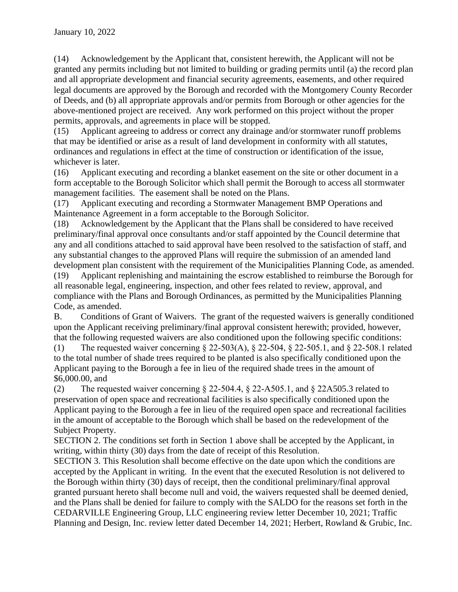(14) Acknowledgement by the Applicant that, consistent herewith, the Applicant will not be granted any permits including but not limited to building or grading permits until (a) the record plan and all appropriate development and financial security agreements, easements, and other required legal documents are approved by the Borough and recorded with the Montgomery County Recorder of Deeds, and (b) all appropriate approvals and/or permits from Borough or other agencies for the above-mentioned project are received. Any work performed on this project without the proper permits, approvals, and agreements in place will be stopped.

(15) Applicant agreeing to address or correct any drainage and/or stormwater runoff problems that may be identified or arise as a result of land development in conformity with all statutes, ordinances and regulations in effect at the time of construction or identification of the issue, whichever is later.

(16) Applicant executing and recording a blanket easement on the site or other document in a form acceptable to the Borough Solicitor which shall permit the Borough to access all stormwater management facilities. The easement shall be noted on the Plans.

(17) Applicant executing and recording a Stormwater Management BMP Operations and Maintenance Agreement in a form acceptable to the Borough Solicitor.

(18) Acknowledgement by the Applicant that the Plans shall be considered to have received preliminary/final approval once consultants and/or staff appointed by the Council determine that any and all conditions attached to said approval have been resolved to the satisfaction of staff, and any substantial changes to the approved Plans will require the submission of an amended land development plan consistent with the requirement of the Municipalities Planning Code, as amended.

(19) Applicant replenishing and maintaining the escrow established to reimburse the Borough for all reasonable legal, engineering, inspection, and other fees related to review, approval, and compliance with the Plans and Borough Ordinances, as permitted by the Municipalities Planning Code, as amended.

B. Conditions of Grant of Waivers. The grant of the requested waivers is generally conditioned upon the Applicant receiving preliminary/final approval consistent herewith; provided, however, that the following requested waivers are also conditioned upon the following specific conditions:

(1) The requested waiver concerning § 22-503(A), § 22-504, § 22-505.1, and § 22-508.1 related to the total number of shade trees required to be planted is also specifically conditioned upon the Applicant paying to the Borough a fee in lieu of the required shade trees in the amount of \$6,000.00, and

(2) The requested waiver concerning § 22-504.4, § 22-A505.1, and § 22A505.3 related to preservation of open space and recreational facilities is also specifically conditioned upon the Applicant paying to the Borough a fee in lieu of the required open space and recreational facilities in the amount of acceptable to the Borough which shall be based on the redevelopment of the Subject Property.

SECTION 2. The conditions set forth in Section 1 above shall be accepted by the Applicant, in writing, within thirty (30) days from the date of receipt of this Resolution.

SECTION 3. This Resolution shall become effective on the date upon which the conditions are accepted by the Applicant in writing. In the event that the executed Resolution is not delivered to the Borough within thirty (30) days of receipt, then the conditional preliminary/final approval granted pursuant hereto shall become null and void, the waivers requested shall be deemed denied, and the Plans shall be denied for failure to comply with the SALDO for the reasons set forth in the CEDARVILLE Engineering Group, LLC engineering review letter December 10, 2021; Traffic Planning and Design, Inc. review letter dated December 14, 2021; Herbert, Rowland & Grubic, Inc.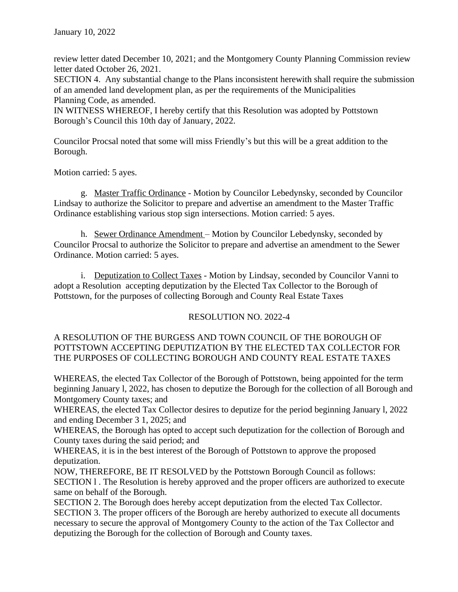review letter dated December 10, 2021; and the Montgomery County Planning Commission review letter dated October 26, 2021.

SECTION 4. Any substantial change to the Plans inconsistent herewith shall require the submission of an amended land development plan, as per the requirements of the Municipalities Planning Code, as amended.

IN WITNESS WHEREOF, I hereby certify that this Resolution was adopted by Pottstown Borough's Council this 10th day of January, 2022.

Councilor Procsal noted that some will miss Friendly's but this will be a great addition to the Borough.

Motion carried: 5 ayes.

g. Master Traffic Ordinance - Motion by Councilor Lebedynsky, seconded by Councilor Lindsay to authorize the Solicitor to prepare and advertise an amendment to the Master Traffic Ordinance establishing various stop sign intersections. Motion carried: 5 ayes.

h. Sewer Ordinance Amendment – Motion by Councilor Lebedynsky, seconded by Councilor Procsal to authorize the Solicitor to prepare and advertise an amendment to the Sewer Ordinance. Motion carried: 5 ayes.

i. Deputization to Collect Taxes - Motion by Lindsay, seconded by Councilor Vanni to adopt a Resolution accepting deputization by the Elected Tax Collector to the Borough of Pottstown, for the purposes of collecting Borough and County Real Estate Taxes

# RESOLUTION NO. 2022-4

### A RESOLUTION OF THE BURGESS AND TOWN COUNCIL OF THE BOROUGH OF POTTSTOWN ACCEPTING DEPUTIZATION BY THE ELECTED TAX COLLECTOR FOR THE PURPOSES OF COLLECTING BOROUGH AND COUNTY REAL ESTATE TAXES

WHEREAS, the elected Tax Collector of the Borough of Pottstown, being appointed for the term beginning January l, 2022, has chosen to deputize the Borough for the collection of all Borough and Montgomery County taxes; and

WHEREAS, the elected Tax Collector desires to deputize for the period beginning January l, 2022 and ending December 3 1, 2025; and

WHEREAS, the Borough has opted to accept such deputization for the collection of Borough and County taxes during the said period; and

WHEREAS, it is in the best interest of the Borough of Pottstown to approve the proposed deputization.

NOW, THEREFORE, BE IT RESOLVED by the Pottstown Borough Council as follows: SECTION l . The Resolution is hereby approved and the proper officers are authorized to execute same on behalf of the Borough.

SECTION 2. The Borough does hereby accept deputization from the elected Tax Collector. SECTION 3. The proper officers of the Borough are hereby authorized to execute all documents necessary to secure the approval of Montgomery County to the action of the Tax Collector and deputizing the Borough for the collection of Borough and County taxes.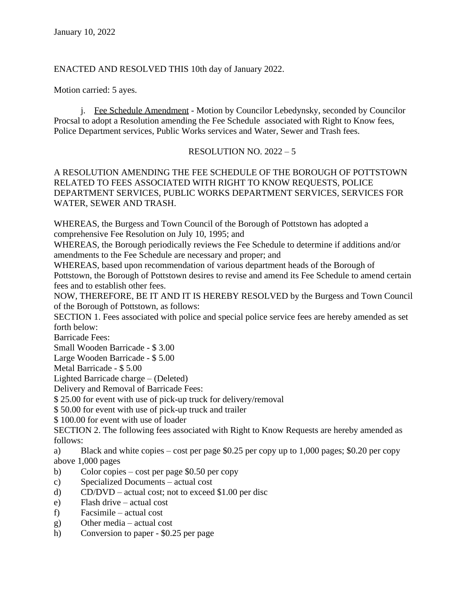### ENACTED AND RESOLVED THIS 10th day of January 2022.

Motion carried: 5 ayes.

j. Fee Schedule Amendment - Motion by Councilor Lebedynsky, seconded by Councilor Procsal to adopt a Resolution amending the Fee Schedule associated with Right to Know fees, Police Department services, Public Works services and Water, Sewer and Trash fees.

### RESOLUTION NO. 2022 – 5

A RESOLUTION AMENDING THE FEE SCHEDULE OF THE BOROUGH OF POTTSTOWN RELATED TO FEES ASSOCIATED WITH RIGHT TO KNOW REQUESTS, POLICE DEPARTMENT SERVICES, PUBLIC WORKS DEPARTMENT SERVICES, SERVICES FOR WATER, SEWER AND TRASH.

WHEREAS, the Burgess and Town Council of the Borough of Pottstown has adopted a comprehensive Fee Resolution on July 10, 1995; and

WHEREAS, the Borough periodically reviews the Fee Schedule to determine if additions and/or amendments to the Fee Schedule are necessary and proper; and

WHEREAS, based upon recommendation of various department heads of the Borough of Pottstown, the Borough of Pottstown desires to revise and amend its Fee Schedule to amend certain fees and to establish other fees.

NOW, THEREFORE, BE IT AND IT IS HEREBY RESOLVED by the Burgess and Town Council of the Borough of Pottstown, as follows:

SECTION 1. Fees associated with police and special police service fees are hereby amended as set forth below:

Barricade Fees:

Small Wooden Barricade - \$ 3.00

Large Wooden Barricade - \$ 5.00

Metal Barricade - \$ 5.00

Lighted Barricade charge – (Deleted)

Delivery and Removal of Barricade Fees:

\$ 25.00 for event with use of pick-up truck for delivery/removal

\$ 50.00 for event with use of pick-up truck and trailer

\$ 100.00 for event with use of loader

SECTION 2. The following fees associated with Right to Know Requests are hereby amended as follows:

a) Black and white copies – cost per page \$0.25 per copy up to 1,000 pages; \$0.20 per copy above 1,000 pages

- b) Color copies cost per page \$0.50 per copy
- c) Specialized Documents actual cost
- d) CD/DVD actual cost; not to exceed \$1.00 per disc
- e) Flash drive actual cost
- f) Facsimile actual cost
- g) Other media actual cost
- h) Conversion to paper \$0.25 per page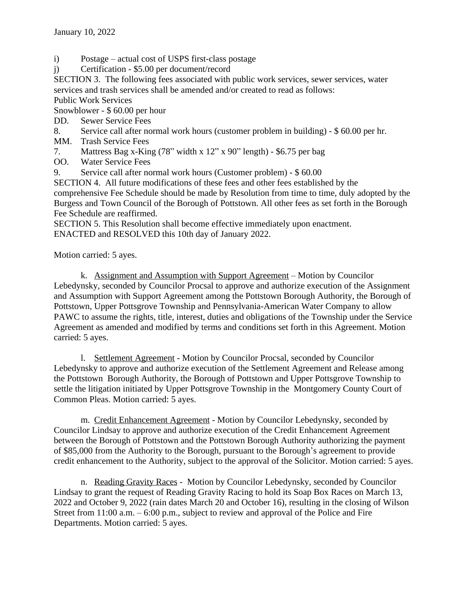- i) Postage actual cost of USPS first-class postage
- j) Certification \$5.00 per document/record

SECTION 3. The following fees associated with public work services, sewer services, water services and trash services shall be amended and/or created to read as follows:

Public Work Services

Snowblower - \$ 60.00 per hour

- DD. Sewer Service Fees
- 8. Service call after normal work hours (customer problem in building) \$ 60.00 per hr.
- MM. Trash Service Fees
- 7. Mattress Bag x-King (78" width x 12" x 90" length) \$6.75 per bag
- OO. Water Service Fees
- 9. Service call after normal work hours (Customer problem) \$ 60.00

SECTION 4. All future modifications of these fees and other fees established by the comprehensive Fee Schedule should be made by Resolution from time to time, duly adopted by the Burgess and Town Council of the Borough of Pottstown. All other fees as set forth in the Borough Fee Schedule are reaffirmed.

SECTION 5. This Resolution shall become effective immediately upon enactment. ENACTED and RESOLVED this 10th day of January 2022.

Motion carried: 5 ayes.

k. Assignment and Assumption with Support Agreement – Motion by Councilor Lebedynsky, seconded by Councilor Procsal to approve and authorize execution of the Assignment and Assumption with Support Agreement among the Pottstown Borough Authority, the Borough of Pottstown, Upper Pottsgrove Township and Pennsylvania-American Water Company to allow PAWC to assume the rights, title, interest, duties and obligations of the Township under the Service Agreement as amended and modified by terms and conditions set forth in this Agreement. Motion carried: 5 ayes.

l. Settlement Agreement - Motion by Councilor Procsal, seconded by Councilor Lebedynsky to approve and authorize execution of the Settlement Agreement and Release among the Pottstown Borough Authority, the Borough of Pottstown and Upper Pottsgrove Township to settle the litigation initiated by Upper Pottsgrove Township in the Montgomery County Court of Common Pleas. Motion carried: 5 ayes.

m. Credit Enhancement Agreement - Motion by Councilor Lebedynsky, seconded by Councilor Lindsay to approve and authorize execution of the Credit Enhancement Agreement between the Borough of Pottstown and the Pottstown Borough Authority authorizing the payment of \$85,000 from the Authority to the Borough, pursuant to the Borough's agreement to provide credit enhancement to the Authority, subject to the approval of the Solicitor. Motion carried: 5 ayes.

n. Reading Gravity Races - Motion by Councilor Lebedynsky, seconded by Councilor Lindsay to grant the request of Reading Gravity Racing to hold its Soap Box Races on March 13, 2022 and October 9, 2022 (rain dates March 20 and October 16), resulting in the closing of Wilson Street from 11:00 a.m. – 6:00 p.m., subject to review and approval of the Police and Fire Departments. Motion carried: 5 ayes.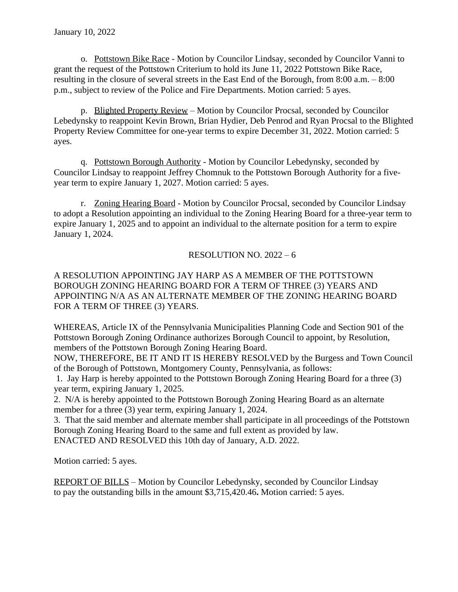o. Pottstown Bike Race - Motion by Councilor Lindsay, seconded by Councilor Vanni to grant the request of the Pottstown Criterium to hold its June 11, 2022 Pottstown Bike Race, resulting in the closure of several streets in the East End of the Borough, from 8:00 a.m. – 8:00 p.m., subject to review of the Police and Fire Departments. Motion carried: 5 ayes.

p. Blighted Property Review – Motion by Councilor Procsal, seconded by Councilor Lebedynsky to reappoint Kevin Brown, Brian Hydier, Deb Penrod and Ryan Procsal to the Blighted Property Review Committee for one-year terms to expire December 31, 2022. Motion carried: 5 ayes.

q. Pottstown Borough Authority - Motion by Councilor Lebedynsky, seconded by Councilor Lindsay to reappoint Jeffrey Chomnuk to the Pottstown Borough Authority for a fiveyear term to expire January 1, 2027. Motion carried: 5 ayes.

r. Zoning Hearing Board - Motion by Councilor Procsal, seconded by Councilor Lindsay to adopt a Resolution appointing an individual to the Zoning Hearing Board for a three-year term to expire January 1, 2025 and to appoint an individual to the alternate position for a term to expire January 1, 2024.

# RESOLUTION NO. 2022 – 6

### A RESOLUTION APPOINTING JAY HARP AS A MEMBER OF THE POTTSTOWN BOROUGH ZONING HEARING BOARD FOR A TERM OF THREE (3) YEARS AND APPOINTING N/A AS AN ALTERNATE MEMBER OF THE ZONING HEARING BOARD FOR A TERM OF THREE (3) YEARS.

WHEREAS, Article IX of the Pennsylvania Municipalities Planning Code and Section 901 of the Pottstown Borough Zoning Ordinance authorizes Borough Council to appoint, by Resolution, members of the Pottstown Borough Zoning Hearing Board.

NOW, THEREFORE, BE IT AND IT IS HEREBY RESOLVED by the Burgess and Town Council of the Borough of Pottstown, Montgomery County, Pennsylvania, as follows:

 1. Jay Harp is hereby appointed to the Pottstown Borough Zoning Hearing Board for a three (3) year term, expiring January 1, 2025.

2. N/A is hereby appointed to the Pottstown Borough Zoning Hearing Board as an alternate member for a three (3) year term, expiring January 1, 2024.

3. That the said member and alternate member shall participate in all proceedings of the Pottstown Borough Zoning Hearing Board to the same and full extent as provided by law. ENACTED AND RESOLVED this 10th day of January, A.D. 2022.

Motion carried: 5 ayes.

REPORT OF BILLS – Motion by Councilor Lebedynsky, seconded by Councilor Lindsay to pay the outstanding bills in the amount \$3,715,420.46**.** Motion carried: 5 ayes.